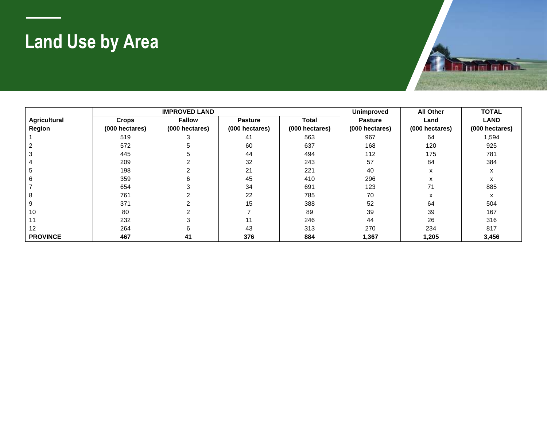## **Land Use by Area**

|                     |                | <b>IMPROVED LAND</b> | <b>Unimproved</b> | <b>All Other</b> | <b>TOTAL</b>   |                |                |
|---------------------|----------------|----------------------|-------------------|------------------|----------------|----------------|----------------|
| <b>Agricultural</b> | <b>Crops</b>   | <b>Fallow</b>        | <b>Pasture</b>    | Total            | <b>Pasture</b> | Land           | <b>LAND</b>    |
| Region              | (000 hectares) | (000 hectares)       | (000 hectares)    | (000 hectares)   | (000 hectares) | (000 hectares) | (000 hectares) |
|                     | 519            | 3                    | 41                | 563              | 967            | 64             | 1,594          |
|                     | 572            | 5                    | 60                | 637              | 168            | 120            | 925            |
|                     | 445            | 5                    | 44                | 494              | 112            | 175            | 781            |
|                     | 209            |                      | 32                | 243              | 57             | 84             | 384            |
|                     | 198            |                      | 21                | 221              | 40             | x              | x              |
|                     | 359            | 6                    | 45                | 410              | 296            | x              | x              |
|                     | 654            |                      | 34                | 691              | 123            | 71             | 885            |
|                     | 761            |                      | 22                | 785              | 70             | x              | x              |
|                     | 371            |                      | 15                | 388              | 52             | 64             | 504            |
| 10                  | 80             |                      |                   | 89               | 39             | 39             | 167            |
|                     | 232            |                      | 11                | 246              | 44             | 26             | 316            |
| 12                  | 264            | 6                    | 43                | 313              | 270            | 234            | 817            |
| <b>PROVINCE</b>     | 467            | 41                   | 376               | 884              | 1,367          | 1,205          | 3,456          |

**Durand**